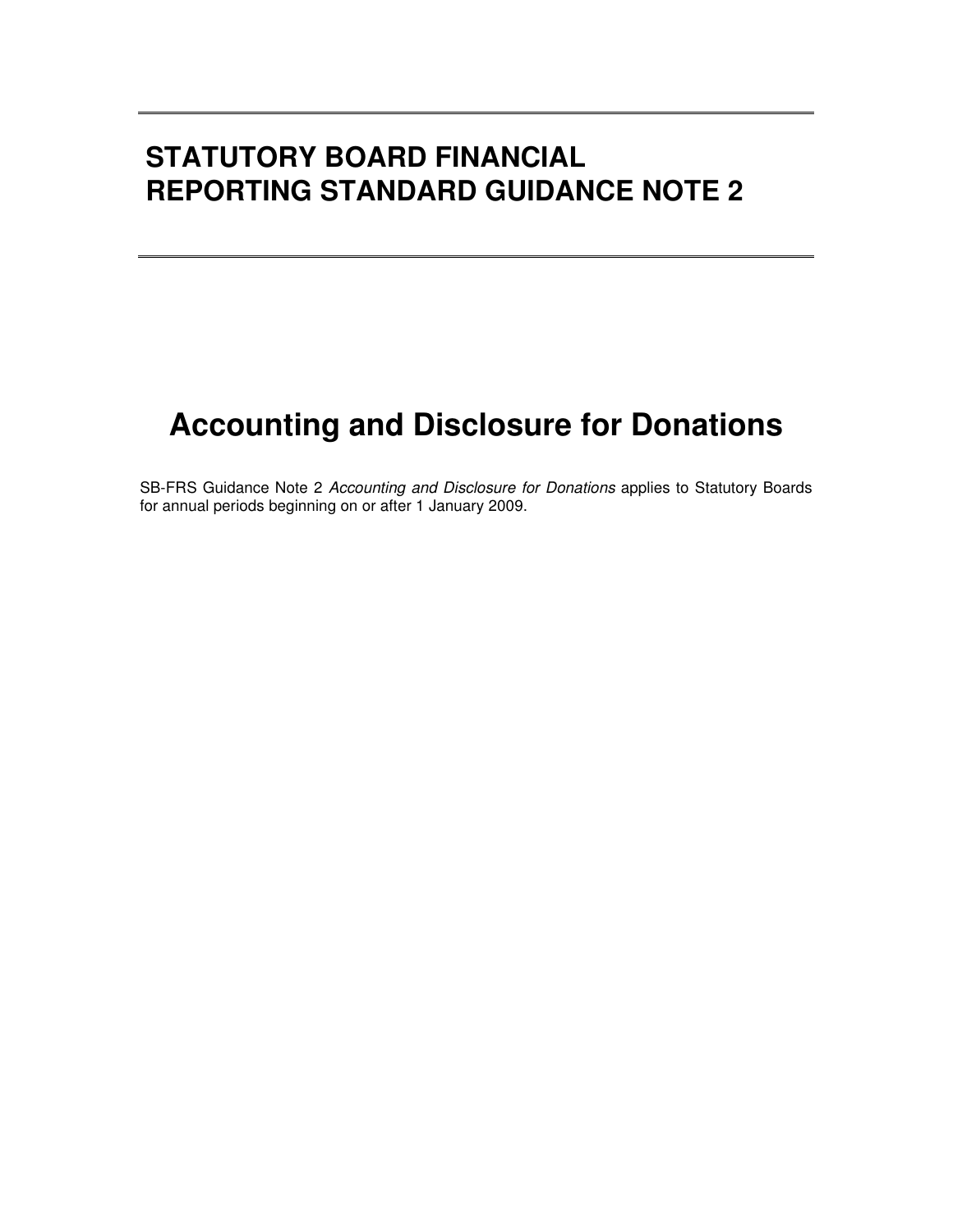## **STATUTORY BOARD FINANCIAL REPORTING STANDARD GUIDANCE NOTE 2**

# **Accounting and Disclosure for Donations**

SB-FRS Guidance Note 2 Accounting and Disclosure for Donations applies to Statutory Boards for annual periods beginning on or after 1 January 2009.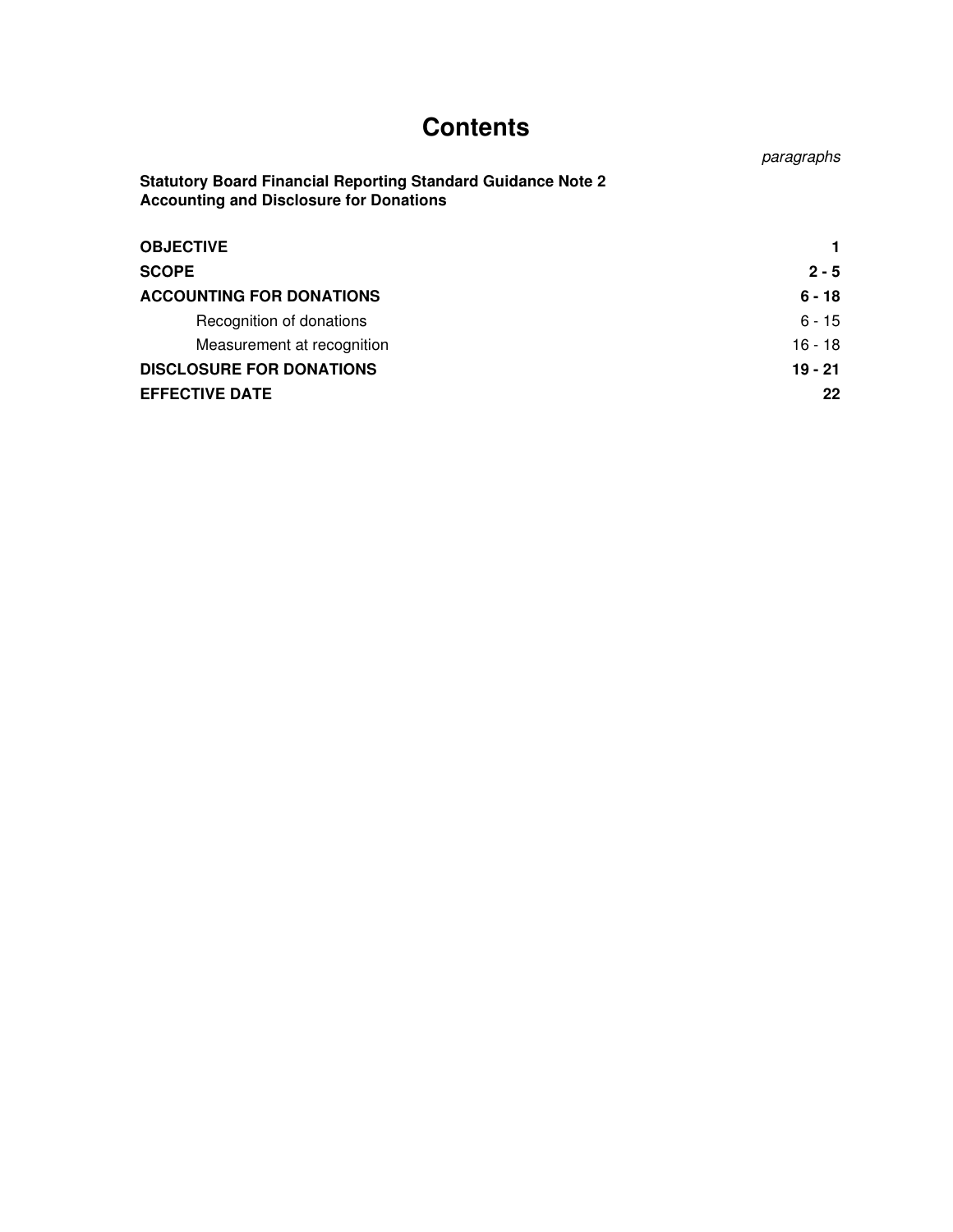## **Contents**

paragraphs

#### **Statutory Board Financial Reporting Standard Guidance Note 2 Accounting and Disclosure for Donations**

| <b>OBJECTIVE</b>                |           |
|---------------------------------|-----------|
| <b>SCOPE</b>                    | $2 - 5$   |
| <b>ACCOUNTING FOR DONATIONS</b> | $6 - 18$  |
| Recognition of donations        | $6 - 15$  |
| Measurement at recognition      | $16 - 18$ |
| <b>DISCLOSURE FOR DONATIONS</b> | $19 - 21$ |
| <b>EFFECTIVE DATE</b>           | 22        |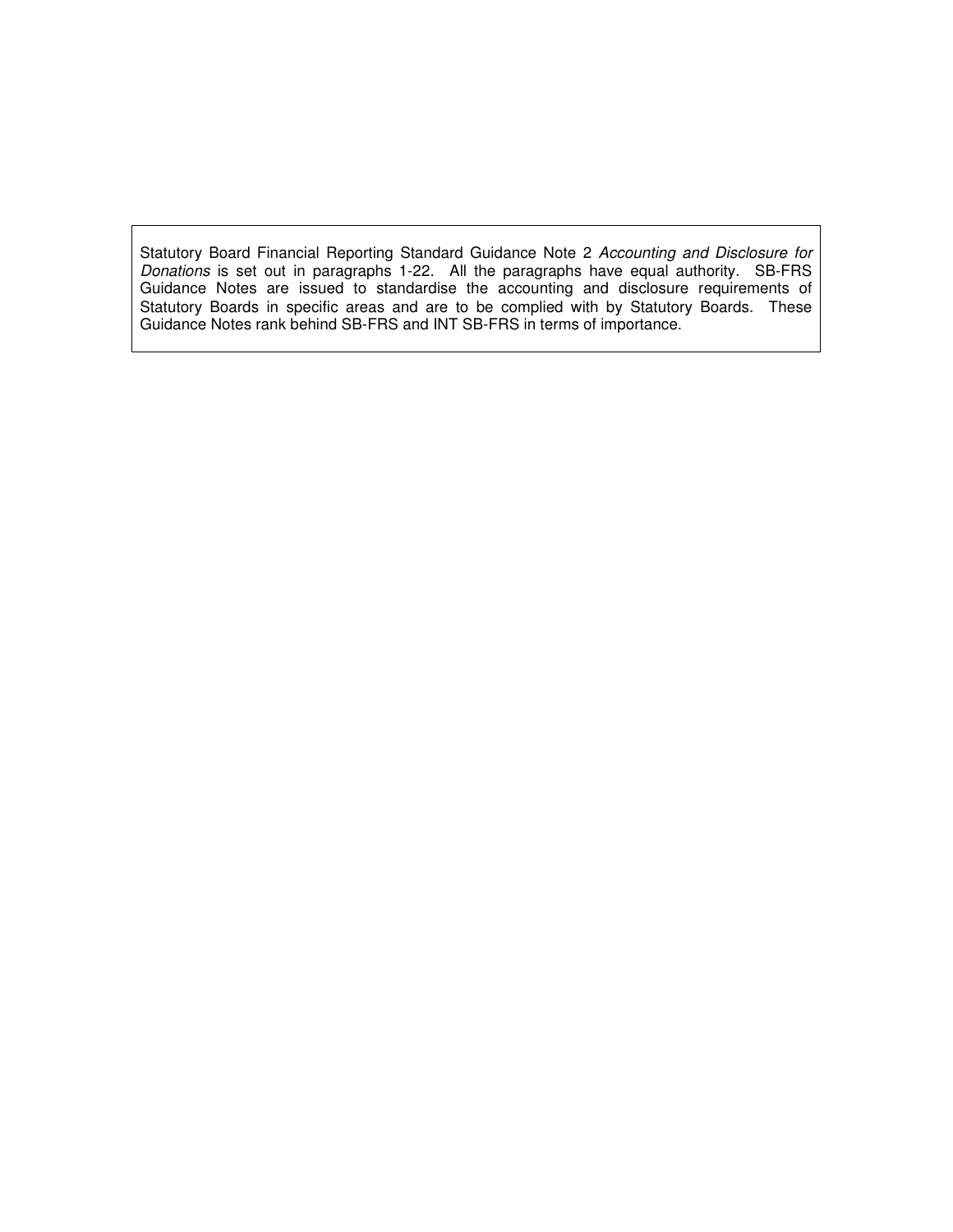Statutory Board Financial Reporting Standard Guidance Note 2 Accounting and Disclosure for Donations is set out in paragraphs 1-22. All the paragraphs have equal authority. SB-FRS Guidance Notes are issued to standardise the accounting and disclosure requirements of Statutory Boards in specific areas and are to be complied with by Statutory Boards. These Guidance Notes rank behind SB-FRS and INT SB-FRS in terms of importance.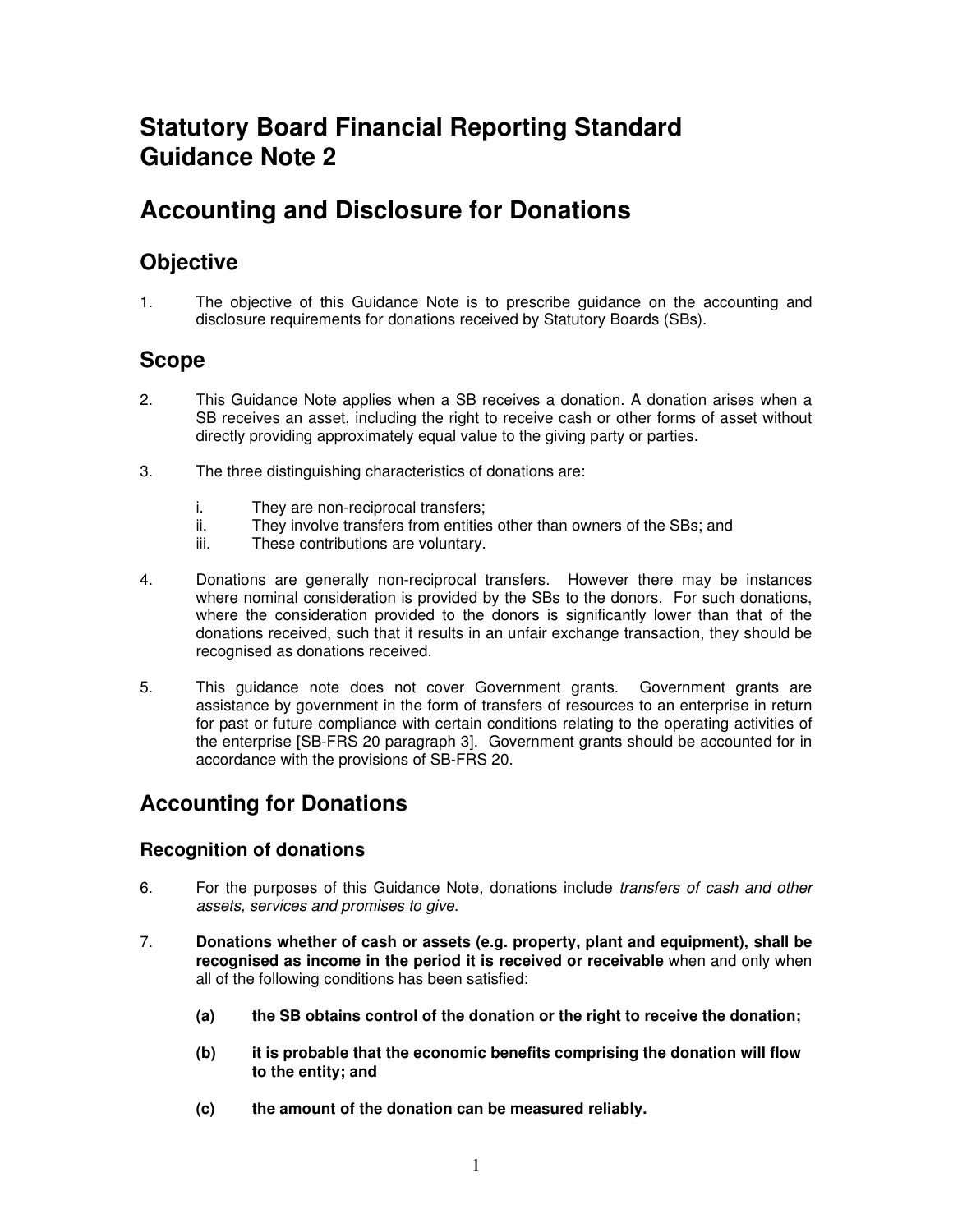## **Statutory Board Financial Reporting Standard Guidance Note 2**

### **Accounting and Disclosure for Donations**

### **Objective**

1. The objective of this Guidance Note is to prescribe guidance on the accounting and disclosure requirements for donations received by Statutory Boards (SBs).

### **Scope**

- 2. This Guidance Note applies when a SB receives a donation. A donation arises when a SB receives an asset, including the right to receive cash or other forms of asset without directly providing approximately equal value to the giving party or parties.
- 3. The three distinguishing characteristics of donations are:
	- i. They are non-reciprocal transfers;
	- ii. They involve transfers from entities other than owners of the SBs; and
	- iii. These contributions are voluntary.
- 4. Donations are generally non-reciprocal transfers. However there may be instances where nominal consideration is provided by the SBs to the donors. For such donations, where the consideration provided to the donors is significantly lower than that of the donations received, such that it results in an unfair exchange transaction, they should be recognised as donations received.
- 5. This guidance note does not cover Government grants. Government grants are assistance by government in the form of transfers of resources to an enterprise in return for past or future compliance with certain conditions relating to the operating activities of the enterprise [SB-FRS 20 paragraph 3].Government grants should be accounted for in accordance with the provisions of SB-FRS 20.

### **Accounting for Donations**

#### **Recognition of donations**

- 6. For the purposes of this Guidance Note, donations include transfers of cash and other assets, services and promises to give.
- 7. **Donations whether of cash or assets (e.g. property, plant and equipment), shall be recognised as income in the period it is received or receivable** when and only when all of the following conditions has been satisfied:
	- **(a) the SB obtains control of the donation or the right to receive the donation;**
	- **(b) it is probable that the economic benefits comprising the donation will flow to the entity; and**
	- **(c) the amount of the donation can be measured reliably.**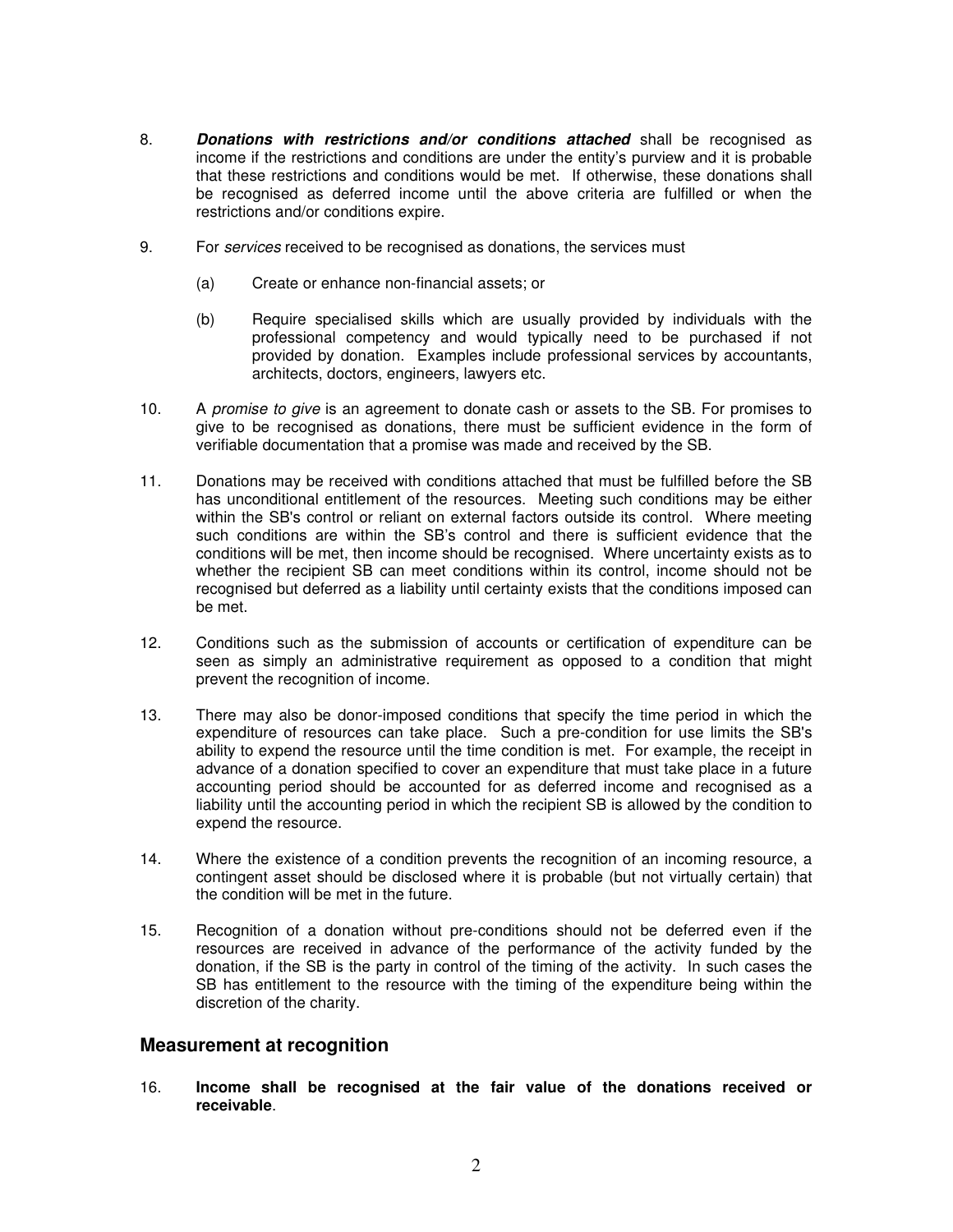- 8. **Donations with restrictions and/or conditions attached** shall be recognised as income if the restrictions and conditions are under the entity's purview and it is probable that these restrictions and conditions would be met. If otherwise, these donations shall be recognised as deferred income until the above criteria are fulfilled or when the restrictions and/or conditions expire.
- 9. For services received to be recognised as donations, the services must
	- (a) Create or enhance non-financial assets; or
	- (b) Require specialised skills which are usually provided by individuals with the professional competency and would typically need to be purchased if not provided by donation. Examples include professional services by accountants, architects, doctors, engineers, lawyers etc.
- 10. A promise to give is an agreement to donate cash or assets to the SB. For promises to give to be recognised as donations, there must be sufficient evidence in the form of verifiable documentation that a promise was made and received by the SB.
- 11. Donations may be received with conditions attached that must be fulfilled before the SB has unconditional entitlement of the resources. Meeting such conditions may be either within the SB's control or reliant on external factors outside its control. Where meeting such conditions are within the SB's control and there is sufficient evidence that the conditions will be met, then income should be recognised. Where uncertainty exists as to whether the recipient SB can meet conditions within its control, income should not be recognised but deferred as a liability until certainty exists that the conditions imposed can be met.
- 12. Conditions such as the submission of accounts or certification of expenditure can be seen as simply an administrative requirement as opposed to a condition that might prevent the recognition of income.
- 13. There may also be donor-imposed conditions that specify the time period in which the expenditure of resources can take place. Such a pre-condition for use limits the SB's ability to expend the resource until the time condition is met. For example, the receipt in advance of a donation specified to cover an expenditure that must take place in a future accounting period should be accounted for as deferred income and recognised as a liability until the accounting period in which the recipient SB is allowed by the condition to expend the resource.
- 14. Where the existence of a condition prevents the recognition of an incoming resource, a contingent asset should be disclosed where it is probable (but not virtually certain) that the condition will be met in the future.
- 15. Recognition of a donation without pre-conditions should not be deferred even if the resources are received in advance of the performance of the activity funded by the donation, if the SB is the party in control of the timing of the activity. In such cases the SB has entitlement to the resource with the timing of the expenditure being within the discretion of the charity.

#### **Measurement at recognition**

16. **Income shall be recognised at the fair value of the donations received or receivable**.